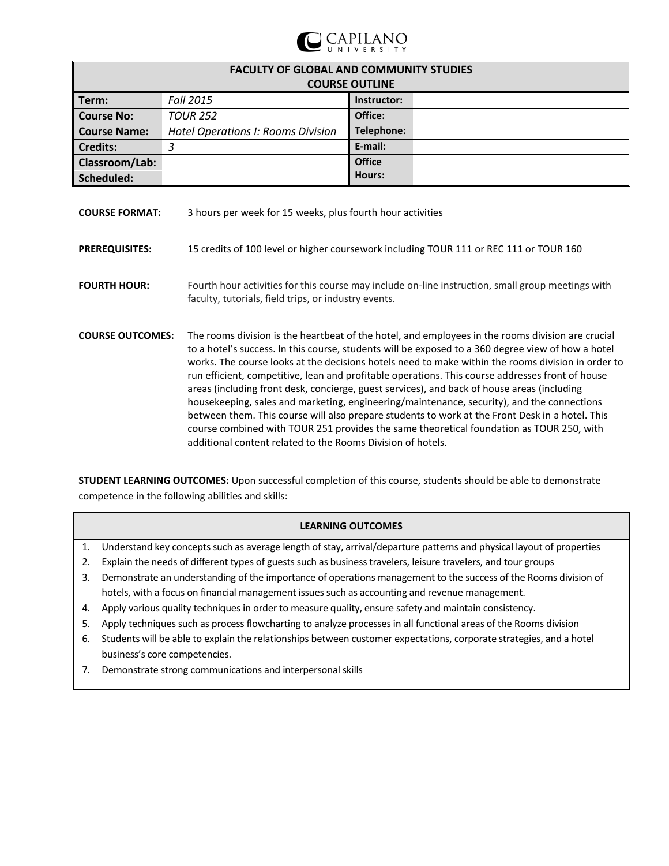

| <b>FACULTY OF GLOBAL AND COMMUNITY STUDIES</b><br><b>COURSE OUTLINE</b> |                                           |               |  |  |
|-------------------------------------------------------------------------|-------------------------------------------|---------------|--|--|
| Term:                                                                   | <b>Fall 2015</b>                          | Instructor:   |  |  |
| <b>Course No:</b>                                                       | <b>TOUR 252</b>                           | Office:       |  |  |
| <b>Course Name:</b>                                                     | <b>Hotel Operations I: Rooms Division</b> | Telephone:    |  |  |
| <b>Credits:</b>                                                         | 2                                         | E-mail:       |  |  |
| Classroom/Lab:                                                          |                                           | <b>Office</b> |  |  |
| Scheduled:                                                              |                                           | Hours:        |  |  |

| <b>COURSE FORMAT:</b>   | 3 hours per week for 15 weeks, plus fourth hour activities                                                                                                                                                                                                                                                                                                                                                                                                                                                                                                                                                                                                                                                                                                                                                                                                                   |
|-------------------------|------------------------------------------------------------------------------------------------------------------------------------------------------------------------------------------------------------------------------------------------------------------------------------------------------------------------------------------------------------------------------------------------------------------------------------------------------------------------------------------------------------------------------------------------------------------------------------------------------------------------------------------------------------------------------------------------------------------------------------------------------------------------------------------------------------------------------------------------------------------------------|
| <b>PREREQUISITES:</b>   | 15 credits of 100 level or higher coursework including TOUR 111 or REC 111 or TOUR 160                                                                                                                                                                                                                                                                                                                                                                                                                                                                                                                                                                                                                                                                                                                                                                                       |
| <b>FOURTH HOUR:</b>     | Fourth hour activities for this course may include on-line instruction, small group meetings with<br>faculty, tutorials, field trips, or industry events.                                                                                                                                                                                                                                                                                                                                                                                                                                                                                                                                                                                                                                                                                                                    |
| <b>COURSE OUTCOMES:</b> | The rooms division is the heartbeat of the hotel, and employees in the rooms division are crucial<br>to a hotel's success. In this course, students will be exposed to a 360 degree view of how a hotel<br>works. The course looks at the decisions hotels need to make within the rooms division in order to<br>run efficient, competitive, lean and profitable operations. This course addresses front of house<br>areas (including front desk, concierge, guest services), and back of house areas (including<br>housekeeping, sales and marketing, engineering/maintenance, security), and the connections<br>between them. This course will also prepare students to work at the Front Desk in a hotel. This<br>course combined with TOUR 251 provides the same theoretical foundation as TOUR 250, with<br>additional content related to the Rooms Division of hotels. |

**STUDENT LEARNING OUTCOMES:** Upon successful completion of this course, students should be able to demonstrate competence in the following abilities and skills:

# **LEARNING OUTCOMES**

- 1. Understand key concepts such as average length of stay, arrival/departure patterns and physical layout of properties
- 2. Explain the needs of different types of guests such as business travelers, leisure travelers, and tour groups
- 3. Demonstrate an understanding of the importance of operations management to the success of the Rooms division of hotels, with a focus on financial management issues such as accounting and revenue management.
- 4. Apply various quality techniques in order to measure quality, ensure safety and maintain consistency.
- 5. Apply techniques such as process flowcharting to analyze processes in all functional areas of the Rooms division
- 6. Students will be able to explain the relationships between customer expectations, corporate strategies, and a hotel business's core competencies.
- 7. Demonstrate strong communications and interpersonal skills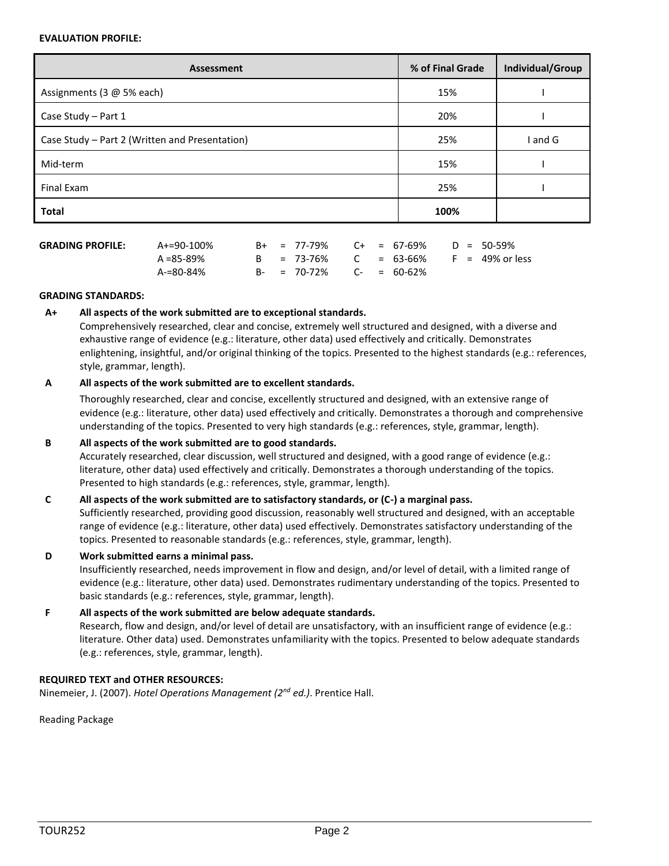#### **EVALUATION PROFILE:**

| Assessment                                     | % of Final Grade | Individual/Group |
|------------------------------------------------|------------------|------------------|
| Assignments (3 @ 5% each)                      | 15%              |                  |
| Case Study - Part 1                            | 20%              |                  |
| Case Study - Part 2 (Written and Presentation) | 25%              | I and G          |
| Mid-term                                       | 15%              |                  |
| Final Exam                                     | 25%              |                  |
| <b>Total</b>                                   | 100%             |                  |

| <b>GRADING PROFILE:</b> | A+=90-100% |  | $B+ = 77-79\%$ C+ = 67-69% D = 50-59% |  |  |  |
|-------------------------|------------|--|---------------------------------------|--|--|--|
|                         | A =85-89%  |  | B = 73-76% C = 63-66% F = 49% or less |  |  |  |
|                         | A-=80-84%  |  | $B - = 70 - 72\%$ C- = 60-62%         |  |  |  |

### **GRADING STANDARDS:**

### **A+ All aspects of the work submitted are to exceptional standards.**

Comprehensively researched, clear and concise, extremely well structured and designed, with a diverse and exhaustive range of evidence (e.g.: literature, other data) used effectively and critically. Demonstrates enlightening, insightful, and/or original thinking of the topics. Presented to the highest standards (e.g.: references, style, grammar, length).

### **A All aspects of the work submitted are to excellent standards.**

Thoroughly researched, clear and concise, excellently structured and designed, with an extensive range of evidence (e.g.: literature, other data) used effectively and critically. Demonstrates a thorough and comprehensive understanding of the topics. Presented to very high standards (e.g.: references, style, grammar, length).

## **B All aspects of the work submitted are to good standards.**

Accurately researched, clear discussion, well structured and designed, with a good range of evidence (e.g.: literature, other data) used effectively and critically. Demonstrates a thorough understanding of the topics. Presented to high standards (e.g.: references, style, grammar, length).

### **C All aspects of the work submitted are to satisfactory standards, or (C-) a marginal pass.**

Sufficiently researched, providing good discussion, reasonably well structured and designed, with an acceptable range of evidence (e.g.: literature, other data) used effectively. Demonstrates satisfactory understanding of the topics. Presented to reasonable standards (e.g.: references, style, grammar, length).

# **D Work submitted earns a minimal pass.**

Insufficiently researched, needs improvement in flow and design, and/or level of detail, with a limited range of evidence (e.g.: literature, other data) used. Demonstrates rudimentary understanding of the topics. Presented to basic standards (e.g.: references, style, grammar, length).

# **F All aspects of the work submitted are below adequate standards.**

Research, flow and design, and/or level of detail are unsatisfactory, with an insufficient range of evidence (e.g.: literature. Other data) used. Demonstrates unfamiliarity with the topics. Presented to below adequate standards (e.g.: references, style, grammar, length).

## **REQUIRED TEXT and OTHER RESOURCES:**

Ninemeier, J. (2007). *Hotel Operations Management (2nd ed.)*. Prentice Hall.

Reading Package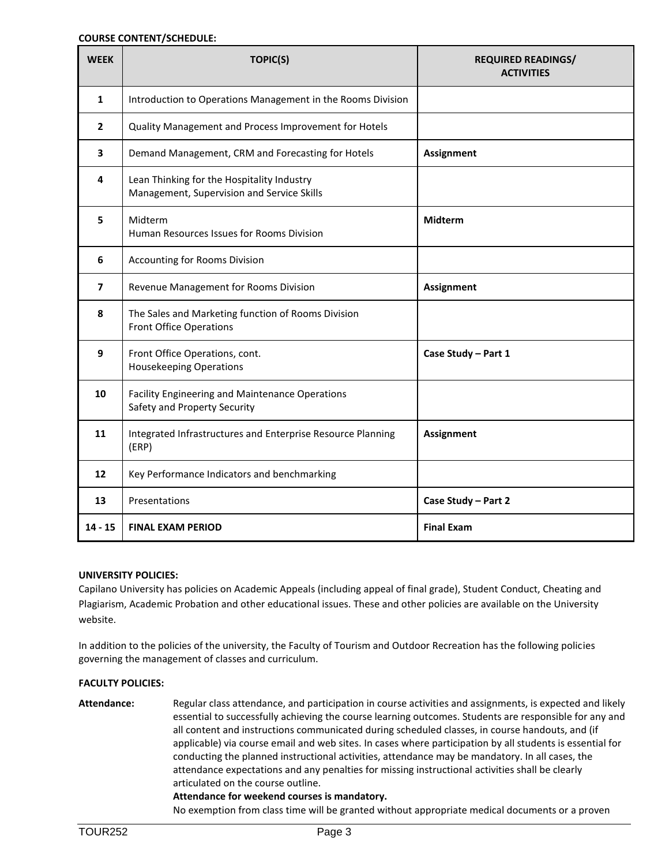### **COURSE CONTENT/SCHEDULE:**

| <b>WEEK</b>    | TOPIC(S)                                                                                 | <b>REQUIRED READINGS/</b><br><b>ACTIVITIES</b> |
|----------------|------------------------------------------------------------------------------------------|------------------------------------------------|
| $\mathbf{1}$   | Introduction to Operations Management in the Rooms Division                              |                                                |
| $\overline{2}$ | Quality Management and Process Improvement for Hotels                                    |                                                |
| 3              | Demand Management, CRM and Forecasting for Hotels                                        | <b>Assignment</b>                              |
| 4              | Lean Thinking for the Hospitality Industry<br>Management, Supervision and Service Skills |                                                |
| 5              | Midterm<br>Human Resources Issues for Rooms Division                                     | Midterm                                        |
| 6              | Accounting for Rooms Division                                                            |                                                |
| $\overline{ }$ | Revenue Management for Rooms Division                                                    | <b>Assignment</b>                              |
| 8              | The Sales and Marketing function of Rooms Division<br><b>Front Office Operations</b>     |                                                |
| 9              | Front Office Operations, cont.<br><b>Housekeeping Operations</b>                         | Case Study - Part 1                            |
| 10             | Facility Engineering and Maintenance Operations<br>Safety and Property Security          |                                                |
| 11             | Integrated Infrastructures and Enterprise Resource Planning<br>(ERP)                     | <b>Assignment</b>                              |
| 12             | Key Performance Indicators and benchmarking                                              |                                                |
| 13             | Presentations                                                                            | Case Study - Part 2                            |
| 14 - 15        | <b>FINAL EXAM PERIOD</b>                                                                 | <b>Final Exam</b>                              |

#### **UNIVERSITY POLICIES:**

Capilano University has policies on Academic Appeals (including appeal of final grade), Student Conduct, Cheating and Plagiarism, Academic Probation and other educational issues. These and other policies are available on the University website.

In addition to the policies of the university, the Faculty of Tourism and Outdoor Recreation has the following policies governing the management of classes and curriculum.

### **FACULTY POLICIES:**

**Attendance:** Regular class attendance, and participation in course activities and assignments, is expected and likely essential to successfully achieving the course learning outcomes. Students are responsible for any and all content and instructions communicated during scheduled classes, in course handouts, and (if applicable) via course email and web sites. In cases where participation by all students is essential for conducting the planned instructional activities, attendance may be mandatory. In all cases, the attendance expectations and any penalties for missing instructional activities shall be clearly articulated on the course outline.

#### **Attendance for weekend courses is mandatory.**

No exemption from class time will be granted without appropriate medical documents or a proven